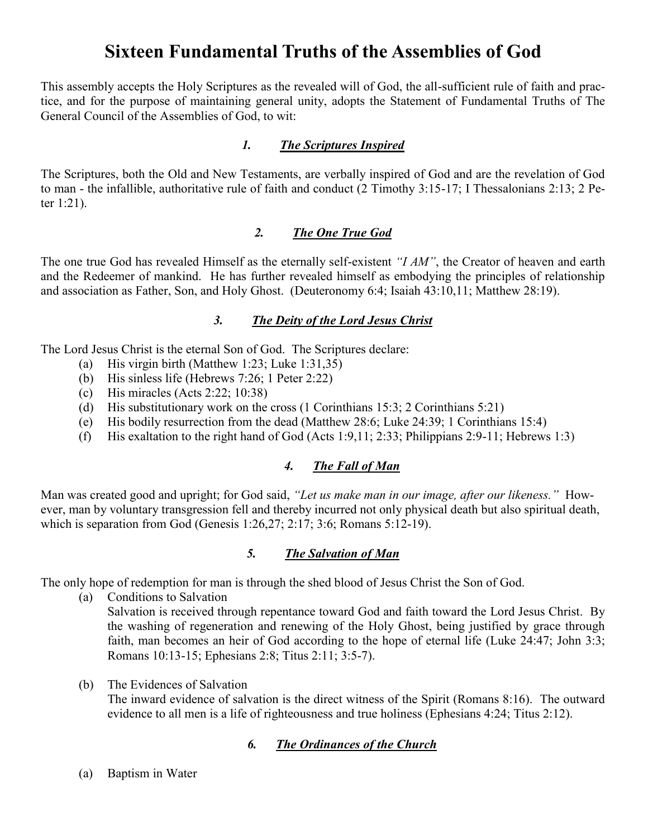# **Sixteen Fundamental Truths of the Assemblies of God**

This assembly accepts the Holy Scriptures as the revealed will of God, the all-sufficient rule of faith and practice, and for the purpose of maintaining general unity, adopts the Statement of Fundamental Truths of The General Council of the Assemblies of God, to wit:

#### *1. The Scriptures Inspired*

The Scriptures, both the Old and New Testaments, are verbally inspired of God and are the revelation of God to man - the infallible, authoritative rule of faith and conduct (2 Timothy 3:15-17; I Thessalonians 2:13; 2 Peter 1:21).

## *2. The One True God*

The one true God has revealed Himself as the eternally self-existent *"I AM"*, the Creator of heaven and earth and the Redeemer of mankind. He has further revealed himself as embodying the principles of relationship and association as Father, Son, and Holy Ghost. (Deuteronomy 6:4; Isaiah 43:10,11; Matthew 28:19).

# *3. The Deity of the Lord Jesus Christ*

The Lord Jesus Christ is the eternal Son of God. The Scriptures declare:

- (a) His virgin birth (Matthew 1:23; Luke 1:31,35)
- (b) His sinless life (Hebrews 7:26; 1 Peter 2:22)
- (c) His miracles (Acts 2:22; 10:38)
- (d) His substitutionary work on the cross (1 Corinthians 15:3; 2 Corinthians 5:21)
- (e) His bodily resurrection from the dead (Matthew 28:6; Luke 24:39; 1 Corinthians 15:4)
- (f) His exaltation to the right hand of God (Acts 1:9,11; 2:33; Philippians 2:9-11; Hebrews 1:3)

# *4. The Fall of Man*

Man was created good and upright; for God said, *"Let us make man in our image, after our likeness."* However, man by voluntary transgression fell and thereby incurred not only physical death but also spiritual death, which is separation from God (Genesis 1:26,27; 2:17; 3:6; Romans 5:12-19).

# *5. The Salvation of Man*

The only hope of redemption for man is through the shed blood of Jesus Christ the Son of God.

(a) Conditions to Salvation

Salvation is received through repentance toward God and faith toward the Lord Jesus Christ. By the washing of regeneration and renewing of the Holy Ghost, being justified by grace through faith, man becomes an heir of God according to the hope of eternal life (Luke 24:47; John 3:3; Romans 10:13-15; Ephesians 2:8; Titus 2:11; 3:5-7).

(b) The Evidences of Salvation

The inward evidence of salvation is the direct witness of the Spirit (Romans 8:16). The outward evidence to all men is a life of righteousness and true holiness (Ephesians 4:24; Titus 2:12).

# *6. The Ordinances of the Church*

(a) Baptism in Water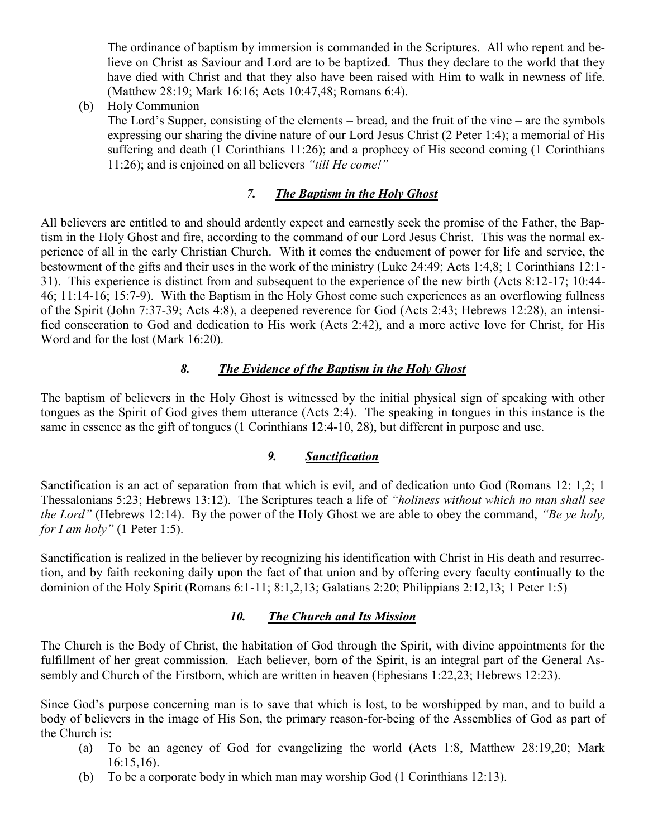The ordinance of baptism by immersion is commanded in the Scriptures. All who repent and believe on Christ as Saviour and Lord are to be baptized. Thus they declare to the world that they have died with Christ and that they also have been raised with Him to walk in newness of life. (Matthew 28:19; Mark 16:16; Acts 10:47,48; Romans 6:4).

(b) Holy Communion

The Lord's Supper, consisting of the elements – bread, and the fruit of the vine – are the symbols expressing our sharing the divine nature of our Lord Jesus Christ (2 Peter 1:4); a memorial of His suffering and death (1 Corinthians 11:26); and a prophecy of His second coming (1 Corinthians 11:26); and is enjoined on all believers *"till He come!"*

# *7. The Baptism in the Holy Ghost*

All believers are entitled to and should ardently expect and earnestly seek the promise of the Father, the Baptism in the Holy Ghost and fire, according to the command of our Lord Jesus Christ. This was the normal experience of all in the early Christian Church. With it comes the enduement of power for life and service, the bestowment of the gifts and their uses in the work of the ministry (Luke 24:49; Acts 1:4,8; 1 Corinthians 12:1- 31). This experience is distinct from and subsequent to the experience of the new birth (Acts 8:12-17; 10:44- 46; 11:14-16; 15:7-9). With the Baptism in the Holy Ghost come such experiences as an overflowing fullness of the Spirit (John 7:37-39; Acts 4:8), a deepened reverence for God (Acts 2:43; Hebrews 12:28), an intensified consecration to God and dedication to His work (Acts 2:42), and a more active love for Christ, for His Word and for the lost (Mark 16:20).

# *8. The Evidence of the Baptism in the Holy Ghost*

The baptism of believers in the Holy Ghost is witnessed by the initial physical sign of speaking with other tongues as the Spirit of God gives them utterance (Acts 2:4). The speaking in tongues in this instance is the same in essence as the gift of tongues (1 Corinthians 12:4-10, 28), but different in purpose and use.

# *9. Sanctification*

Sanctification is an act of separation from that which is evil, and of dedication unto God (Romans 12: 1,2; 1 Thessalonians 5:23; Hebrews 13:12). The Scriptures teach a life of *"holiness without which no man shall see the Lord"* (Hebrews 12:14). By the power of the Holy Ghost we are able to obey the command, *"Be ye holy, for I am holy"* (1 Peter 1:5).

Sanctification is realized in the believer by recognizing his identification with Christ in His death and resurrection, and by faith reckoning daily upon the fact of that union and by offering every faculty continually to the dominion of the Holy Spirit (Romans 6:1-11; 8:1,2,13; Galatians 2:20; Philippians 2:12,13; 1 Peter 1:5)

# *10. The Church and Its Mission*

The Church is the Body of Christ, the habitation of God through the Spirit, with divine appointments for the fulfillment of her great commission. Each believer, born of the Spirit, is an integral part of the General Assembly and Church of the Firstborn, which are written in heaven (Ephesians 1:22,23; Hebrews 12:23).

Since God's purpose concerning man is to save that which is lost, to be worshipped by man, and to build a body of believers in the image of His Son, the primary reason-for-being of the Assemblies of God as part of the Church is:

- (a) To be an agency of God for evangelizing the world (Acts 1:8, Matthew 28:19,20; Mark 16:15,16).
- (b) To be a corporate body in which man may worship God (1 Corinthians 12:13).